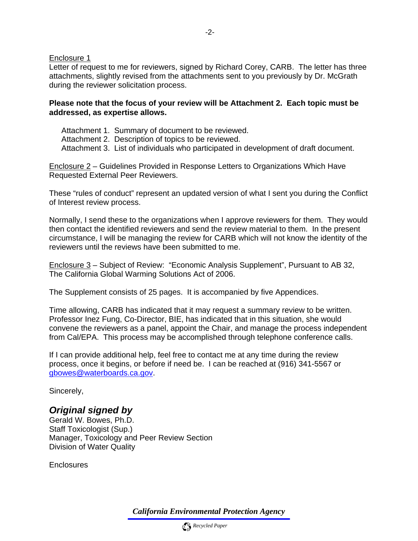Enclosure 1

Letter of request to me for reviewers, signed by Richard Corey, CARB. The letter has three attachments, slightly revised from the attachments sent to you previously by Dr. McGrath during the reviewer solicitation process.

## **Please note that the focus of your review will be Attachment 2. Each topic must be addressed, as expertise allows.**

Attachment 1. Summary of document to be reviewed. Attachment 2. Description of topics to be reviewed. Attachment 3. List of individuals who participated in development of draft document.

Enclosure 2 – Guidelines Provided in Response Letters to Organizations Which Have Requested External Peer Reviewers.

These "rules of conduct" represent an updated version of what I sent you during the Conflict of Interest review process.

Normally, I send these to the organizations when I approve reviewers for them. They would then contact the identified reviewers and send the review material to them. In the present circumstance, I will be managing the review for CARB which will not know the identity of the reviewers until the reviews have been submitted to me.

Enclosure 3 – Subject of Review: "Economic Analysis Supplement", Pursuant to AB 32, The California Global Warming Solutions Act of 2006.

The Supplement consists of 25 pages. It is accompanied by five Appendices.

Time allowing, CARB has indicated that it may request a summary review to be written. Professor Inez Fung, Co-Director, BIE, has indicated that in this situation, she would convene the reviewers as a panel, appoint the Chair, and manage the process independent from Cal/EPA. This process may be accomplished through telephone conference calls.

If I can provide additional help, feel free to contact me at any time during the review process, once it begins, or before if need be. I can be reached at (916) 341-5567 or [gbowes@waterboards.ca.gov](mailto:gbowes@waterboards.ca.gov).

Sincerely,

## *Original signed by*

Gerald W. Bowes, Ph.D. Staff Toxicologist (Sup.) Manager, Toxicology and Peer Review Section Division of Water Quality

**Enclosures** 

*California Environmental Protection Agency*